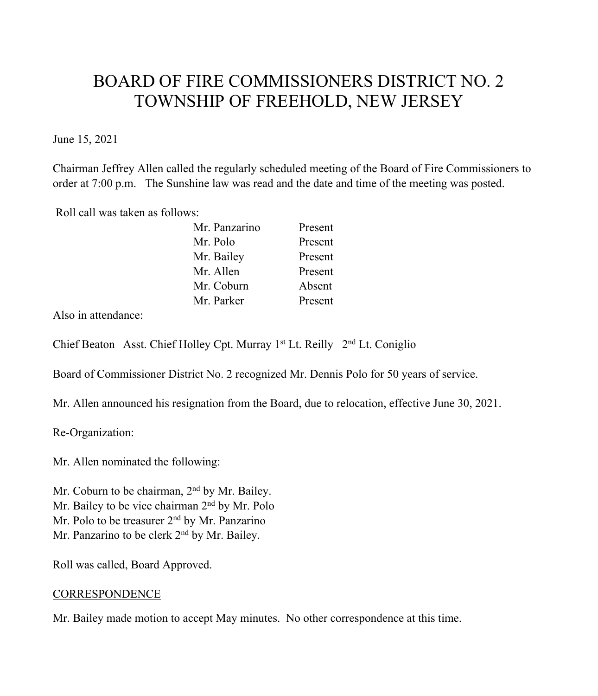# BOARD OF FIRE COMMISSIONERS DISTRICT NO. 2 TOWNSHIP OF FREEHOLD, NEW JERSEY

June 15, 2021

Chairman Jeffrey Allen called the regularly scheduled meeting of the Board of Fire Commissioners to order at 7:00 p.m. The Sunshine law was read and the date and time of the meeting was posted.

Roll call was taken as follows:

| Mr. Panzarino | Present |
|---------------|---------|
| Mr. Polo      | Present |
| Mr. Bailey    | Present |
| Mr. Allen     | Present |
| Mr. Coburn    | Absent  |
| Mr. Parker    | Present |

Also in attendance:

Chief Beaton Asst. Chief Holley Cpt. Murray 1st Lt. Reilly 2nd Lt. Coniglio

Board of Commissioner District No. 2 recognized Mr. Dennis Polo for 50 years of service.

Mr. Allen announced his resignation from the Board, due to relocation, effective June 30, 2021.

Re-Organization:

Mr. Allen nominated the following:

Mr. Coburn to be chairman, 2<sup>nd</sup> by Mr. Bailey. Mr. Bailey to be vice chairman 2<sup>nd</sup> by Mr. Polo Mr. Polo to be treasurer 2<sup>nd</sup> by Mr. Panzarino Mr. Panzarino to be clerk 2<sup>nd</sup> by Mr. Bailey.

Roll was called, Board Approved.

### **CORRESPONDENCE**

Mr. Bailey made motion to accept May minutes. No other correspondence at this time.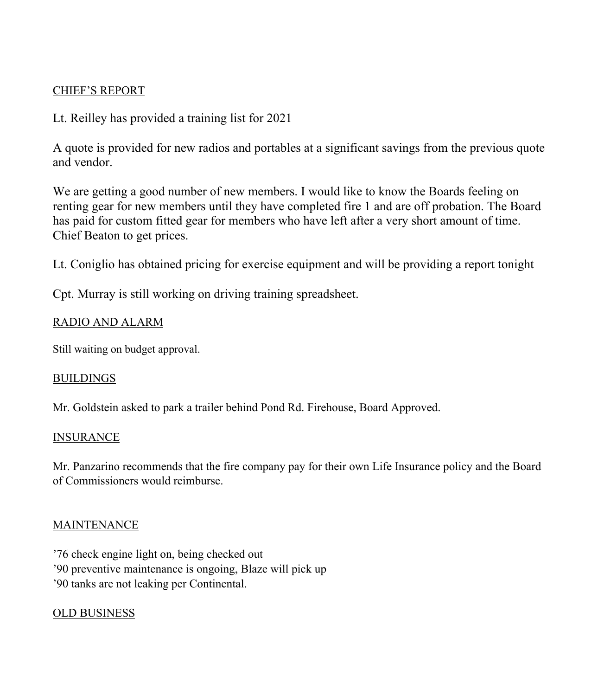## CHIEF'S REPORT

# Lt. Reilley has provided a training list for 2021

A quote is provided for new radios and portables at a significant savings from the previous quote and vendor.

We are getting a good number of new members. I would like to know the Boards feeling on renting gear for new members until they have completed fire 1 and are off probation. The Board has paid for custom fitted gear for members who have left after a very short amount of time. Chief Beaton to get prices.

Lt. Coniglio has obtained pricing for exercise equipment and will be providing a report tonight

Cpt. Murray is still working on driving training spreadsheet.

# RADIO AND ALARM

Still waiting on budget approval.

### **BUILDINGS**

Mr. Goldstein asked to park a trailer behind Pond Rd. Firehouse, Board Approved.

### INSURANCE

Mr. Panzarino recommends that the fire company pay for their own Life Insurance policy and the Board of Commissioners would reimburse.

### MAINTENANCE

'76 check engine light on, being checked out '90 preventive maintenance is ongoing, Blaze will pick up '90 tanks are not leaking per Continental.

# OLD BUSINESS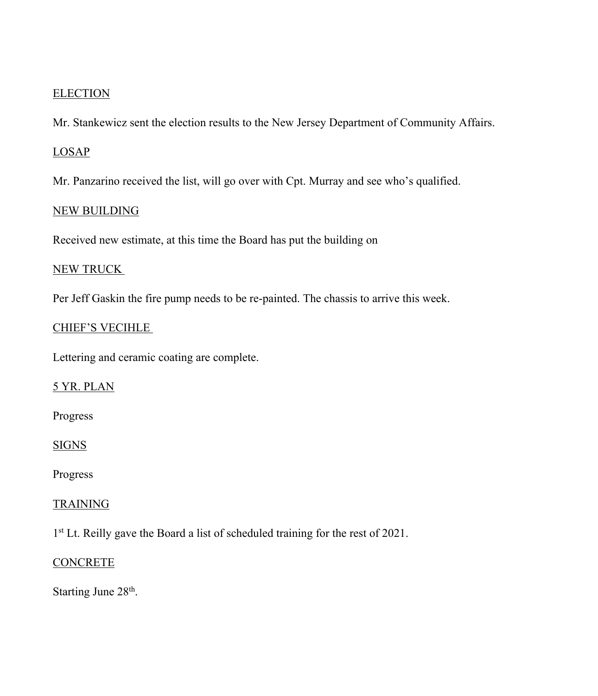### **ELECTION**

Mr. Stankewicz sent the election results to the New Jersey Department of Community Affairs.

#### LOSAP

Mr. Panzarino received the list, will go over with Cpt. Murray and see who's qualified.

#### NEW BUILDING

Received new estimate, at this time the Board has put the building on

## NEW TRUCK

Per Jeff Gaskin the fire pump needs to be re-painted. The chassis to arrive this week.

### CHIEF'S VECIHLE

Lettering and ceramic coating are complete.

## 5 YR. PLAN

Progress

#### SIGNS

Progress

#### TRAINING

<sup>1st</sup> Lt. Reilly gave the Board a list of scheduled training for the rest of 2021.

#### **CONCRETE**

Starting June 28<sup>th</sup>.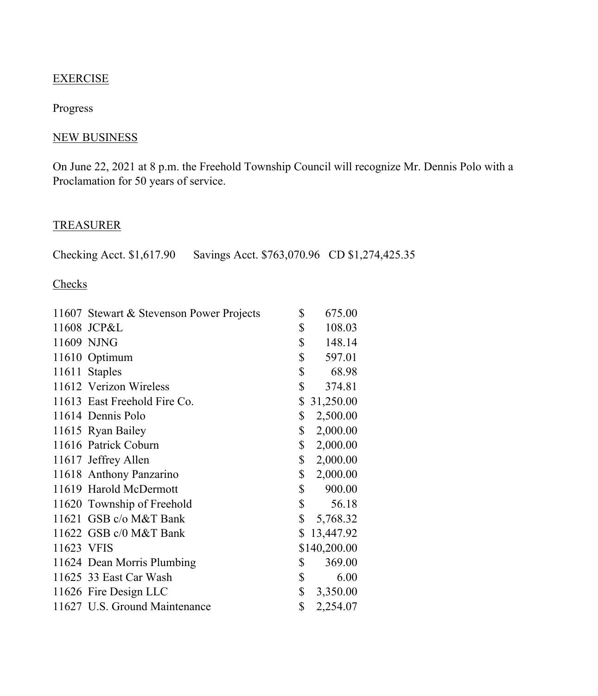### **EXERCISE**

#### Progress

## NEW BUSINESS

On June 22, 2021 at 8 p.m. the Freehold Township Council will recognize Mr. Dennis Polo with a Proclamation for 50 years of service.

## TREASURER

Checking Acct. \$1,617.90 Savings Acct. \$763,070.96 CD \$1,274,425.35

# **Checks**

|            | 11607 Stewart & Stevenson Power Projects | \$<br>675.00    |
|------------|------------------------------------------|-----------------|
|            | 11608 JCP&L                              | \$<br>108.03    |
|            | 11609 NJNG                               | \$<br>148.14    |
|            | 11610 Optimum                            | \$<br>597.01    |
|            | 11611 Staples                            | \$<br>68.98     |
|            | 11612 Verizon Wireless                   | \$<br>374.81    |
|            | 11613 East Freehold Fire Co.             | \$<br>31,250.00 |
|            | 11614 Dennis Polo                        | \$<br>2,500.00  |
|            | 11615 Ryan Bailey                        | \$<br>2,000.00  |
|            | 11616 Patrick Coburn                     | \$<br>2,000.00  |
|            | 11617 Jeffrey Allen                      | \$<br>2,000.00  |
|            | 11618 Anthony Panzarino                  | \$<br>2,000.00  |
|            | 11619 Harold McDermott                   | \$<br>900.00    |
|            | 11620 Township of Freehold               | \$<br>56.18     |
|            | 11621 GSB c/o M&T Bank                   | \$<br>5,768.32  |
|            | 11622 GSB c/0 M&T Bank                   | \$<br>13,447.92 |
| 11623 VFIS |                                          | \$140,200.00    |
|            | 11624 Dean Morris Plumbing               | \$<br>369.00    |
|            | 11625 33 East Car Wash                   | \$<br>6.00      |
|            | 11626 Fire Design LLC                    | \$<br>3,350.00  |
|            | 11627 U.S. Ground Maintenance            | \$<br>2,254.07  |